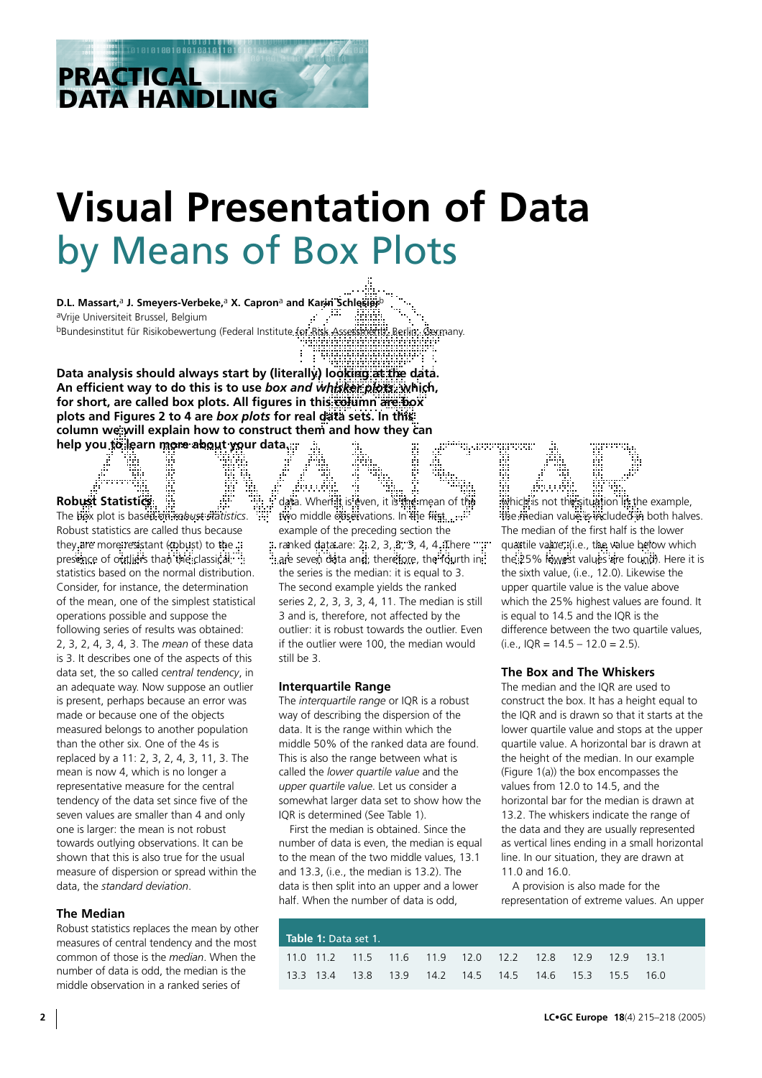# **Visual Presentation of Data**  by Means of Box Plots

**D.L. Massart,**a **J. Smeyers-Verbeke,**a **X. Capron**a **and Karin Schlesier**b aVrije Universiteit Brussel, Belgium bBundesinstitut für Risikobewertung (Federal Institute for Risk Assessment), Berlin, Germany.

**Data analysis should always start by (literally) looking at the data. An efficient way to do this is to use** *box and whisker plots***, which,** for short, are called box plots. All figures in this column are box **plots and Figures 2 to 4 are** *box plots* **for real data sets. In this** column we will explain how to construct them and how they can help you to learn more about your data...

# **Robust Statistics**

**PRACTICAL** 

**DATA HANDLING**

1010010001

The box plot is based on *robust statistics*. Robust statistics are called thus because they are more resistant (robust) to the .: presence of outliers than the classical. statistics based on the normal distribution. Consider, for instance, the determination of the mean, one of the simplest statistical operations possible and suppose the following series of results was obtained: 2, 3, 2, 4, 3, 4, 3. The *mean* of these data is 3. It describes one of the aspects of this data set, the so called *central tendency*, in an adequate way. Now suppose an outlier is present, perhaps because an error was made or because one of the objects measured belongs to another population than the other six. One of the 4s is replaced by a 11: 2, 3, 2, 4, 3, 11, 3. The mean is now 4, which is no longer a representative measure for the central tendency of the data set since five of the seven values are smaller than 4 and only one is larger: the mean is not robust towards outlying observations. It can be shown that this is also true for the usual measure of dispersion or spread within the data, the *standard deviation*.

## **The Median**

Robust statistics replaces the mean by other measures of central tendency and the most common of those is the *median*. When the number of data is odd, the median is the middle observation in a ranked series of

data. When it is even, it is the mean of th two middle observations. In the first....... example of the preceding section the ranked data are: 2, 2, 3, 3, 3, 4, 4. There are seven data and, therefore, the fourth in: the series is the median: it is equal to 3. The second example yields the ranked series 2, 2, 3, 3, 3, 4, 11. The median is still 3 and is, therefore, not affected by the outlier: it is robust towards the outlier. Even if the outlier were 100, the median would still be 3.

## **Interquartile Range**

The *interquartile range* or IQR is a robust way of describing the dispersion of the data. It is the range within which the middle 50% of the ranked data are found. This is also the range between what is called the *lower quartile value* and the *upper quartile value*. Let us consider a somewhat larger data set to show how the IQR is determined (See Table 1).

First the median is obtained. Since the number of data is even, the median is equal to the mean of the two middle values, 13.1 and 13.3, (i.e., the median is 13.2). The data is then split into an upper and a lower half. When the number of data is odd,

which is not the situation in the example, the median value is included in both halves. The median of the first half is the lower quartile value, (i.e., the value below which the 25% lowest values are found). Here it is the sixth value, (i.e., 12.0). Likewise the upper quartile value is the value above which the 25% highest values are found. It is equal to 14.5 and the IQR is the difference between the two quartile values,  $(i.e.,$  IOR = 14.5 – 12.0 = 2.5).

# **The Box and The Whiskers**

The median and the IQR are used to construct the box. It has a height equal to the IQR and is drawn so that it starts at the lower quartile value and stops at the upper quartile value. A horizontal bar is drawn at the height of the median. In our example (Figure 1(a)) the box encompasses the values from 12.0 to 14.5, and the horizontal bar for the median is drawn at 13.2. The whiskers indicate the range of the data and they are usually represented as vertical lines ending in a small horizontal line. In our situation, they are drawn at 11.0 and 16.0.

A provision is also made for the representation of extreme values. An upper

| <b>Table 1:</b> Data set 1. |  |  |  |  |  |                                                        |  |  |  |  |
|-----------------------------|--|--|--|--|--|--------------------------------------------------------|--|--|--|--|
|                             |  |  |  |  |  | 11.0 11.2 11.5 11.6 11.9 12.0 12.2 12.8 12.9 12.9 13.1 |  |  |  |  |
|                             |  |  |  |  |  | 13.3 13.4 13.8 13.9 14.2 14.5 14.5 14.6 15.3 15.5 16.0 |  |  |  |  |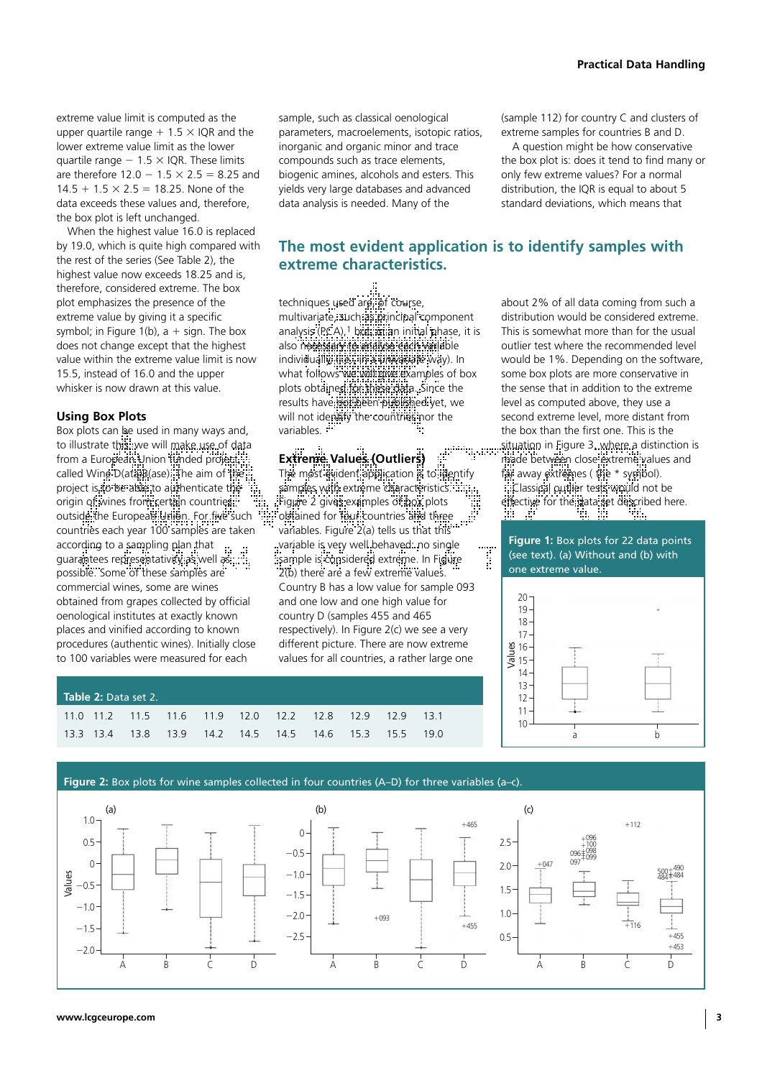extreme value limit is computed as the upper quartile range  $+$  1.5  $\times$  IQR and the lower extreme value limit as the lower quartile range  $-1.5 \times$  IQR. These limits are therefore  $12.0 - 1.5 \times 2.5 = 8.25$  and  $14.5 + 1.5 \times 2.5 = 18.25$ . None of the data exceeds these values and, therefore, the box plot is left unchanged.

When the highest value 16.0 is replaced by 19.0, which is quite high compared with the rest of the series (See Table 2), the highest value now exceeds 18.25 and is, therefore, considered extreme. The box plot emphasizes the presence of the extreme value by giving it a specific symbol; in Figure 1(b),  $a + sign$ . The box does not change except that the highest value within the extreme value limit is now 15.5, instead of 16.0 and the upper whisker is now drawn at this value.

# **Using Box Plots**

Box plots can be used in many ways and, to illustrate this, we will make use of data from a European Union funded project, called Wine D(ata)B(ase). The aim of the project is to be able to authenticate the origin of wines from certain countries." outside: the European Union. For five such countries each year 100 samples are taken according to a sampling plan that guarantees representativity as well as possible. Some of these samples are commercial wines, some are wines obtained from grapes collected by official oenological institutes at exactly known places and vinified according to known procedures (authentic wines). Initially close to 100 variables were measured for each

sample, such as classical oenological parameters, macroelements, isotopic ratios, inorganic and organic minor and trace compounds such as trace elements, biogenic amines, alcohols and esters. This yields very large databases and advanced data analysis is needed. Many of the

(sample 112) for country C and clusters of extreme samples for countries B and D.

A question might be how conservative the box plot is: does it tend to find many or only few extreme values? For a normal distribution, the IQR is equal to about 5 standard deviations, which means that

# **The most evident application is to identify samples with extreme characteristics.**

ş

techniques used are, of course, multivariate, such as principal component analysis (PCA),<sup>1</sup> but, in an initial phase, it is also necessary to analyse each variable individually, (i.e., in a *univariate* way). In what follows we will give examples of box plots obtained for these data. Since the results have not been published yet, we will not identify the countries nor the variables. :

a<sup>phy</sup>yee Extreme Values (Outliers) The most evident application is to identify samples with extreme characteristics. Figure 2 gives examples of box plots obtained for four countries and three variables. Figure 2(a) tells us that this variable is very well behaved: no single sample is considered extreme. In Figure 2(b) there are a few extreme values. Country B has a low value for sample 093 and one low and one high value for country D (samples 455 and 465 respectively). In Figure 2(c) we see a very different picture. There are now extreme values for all countries, a rather large one

| <b>Table 2:</b> Data set 2. |  |  |  |  |  |                                                        |  |  |  |  |  |
|-----------------------------|--|--|--|--|--|--------------------------------------------------------|--|--|--|--|--|
|                             |  |  |  |  |  | 11.0 11.2 11.5 11.6 11.9 12.0 12.2 12.8 12.9 12.9 13.1 |  |  |  |  |  |
|                             |  |  |  |  |  | 13.3 13.4 13.8 13.9 14.2 14.5 14.5 14.6 15.3 15.5 19.0 |  |  |  |  |  |



**Figure 1:** Box plots for 22 data points (see text). (a) Without and (b) with one extreme value.



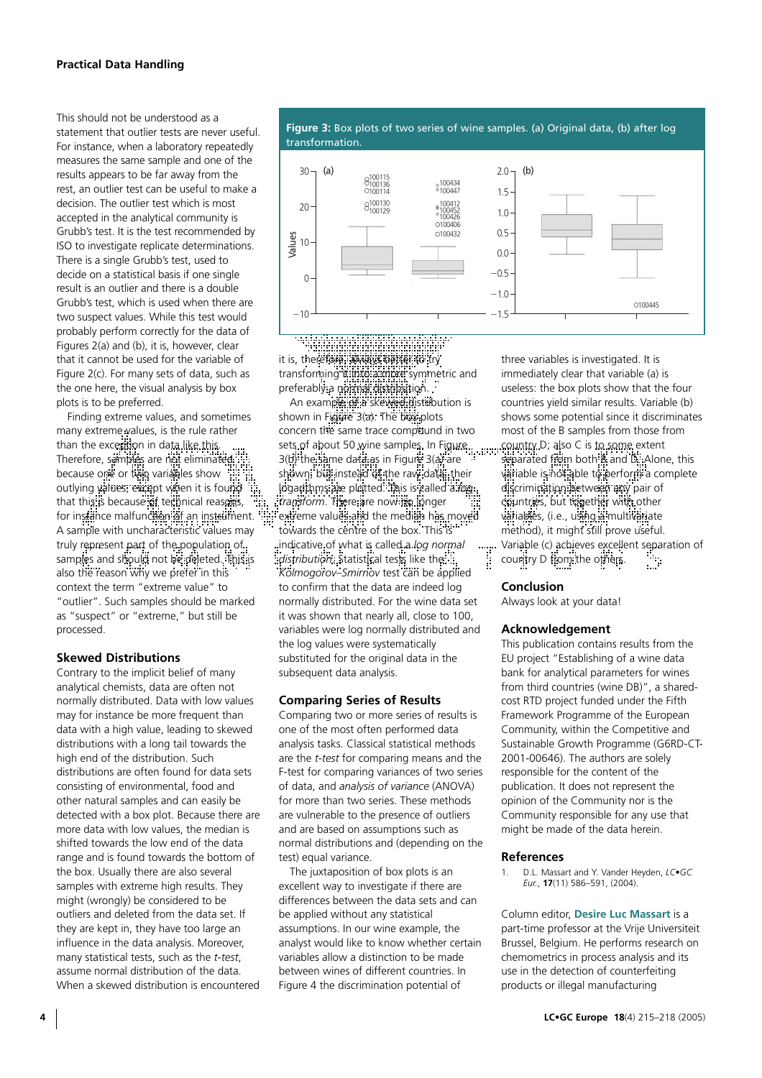This should not be understood as a statement that outlier tests are never useful. For instance, when a laboratory repeatedly measures the same sample and one of the results appears to be far away from the rest, an outlier test can be useful to make a decision. The outlier test which is most accepted in the analytical community is Grubb's test. It is the test recommended by ISO to investigate replicate determinations. There is a single Grubb's test, used to decide on a statistical basis if one single result is an outlier and there is a double Grubb's test, which is used when there are two suspect values. While this test would probably perform correctly for the data of Figures 2(a) and (b), it is, however, clear that it cannot be used for the variable of Figure 2(c). For many sets of data, such as the one here, the visual analysis by box plots is to be preferred.

Finding extreme values, and sometimes many extreme values, is the rule rather than the exception in data like this. Therefore, samples are not eliminated: because one or two variables show outlying values, except when it is found that this is because of technical reasons, for instance malfunction of an instrument. A sample with uncharacteristic values may truly represent part of the population of samples and should not be deleted. This is also the reason why we prefer in this context the term "extreme value" to "outlier". Such samples should be marked as "suspect" or "extreme," but still be processed.

## **Skewed Distributions**

Contrary to the implicit belief of many analytical chemists, data are often not normally distributed. Data with low values may for instance be more frequent than data with a high value, leading to skewed distributions with a long tail towards the high end of the distribution. Such distributions are often found for data sets consisting of environmental, food and other natural samples and can easily be detected with a box plot. Because there are more data with low values, the median is shifted towards the low end of the data range and is found towards the bottom of the box. Usually there are also several samples with extreme high results. They might (wrongly) be considered to be outliers and deleted from the data set. If they are kept in, they have too large an influence in the data analysis. Moreover, many statistical tests, such as the *t-test*, assume normal distribution of the data. When a skewed distribution is encountered



**Figure 3:** Box plots of two series of wine samples. (a) Original data, (b) after log

₩₩ it is, therefore, always better to try transforming it into a more symmetric and preferably a normal distribution.

An example of a skewed distribution is shown in Figure 3(a). The box plots concern the same trace compound in two sets of about 50 wine samples. In Figure.. .........country D; also C is to some extent 3(b) the same data as in Figure 3(a) are shown, but instead of the raw data, their logarithms are plotted. This is called a *log transform*. There are now no longer extreme values and the median has moved towards the centre of the box. This is" indicative of what is called a *log normal distribution*. Statistical tests like the *Kolmogorov–Smirnov* test can be applied to confirm that the data are indeed log normally distributed. For the wine data set it was shown that nearly all, close to 100, variables were log normally distributed and the log values were systematically substituted for the original data in the subsequent data analysis.

## **Comparing Series of Results**

Comparing two or more series of results is one of the most often performed data analysis tasks. Classical statistical methods are the *t-test* for comparing means and the F-test for comparing variances of two series of data, and *analysis of variance* (ANOVA) for more than two series. These methods are vulnerable to the presence of outliers and are based on assumptions such as normal distributions and (depending on the test) equal variance.

The juxtaposition of box plots is an excellent way to investigate if there are differences between the data sets and can be applied without any statistical assumptions. In our wine example, the analyst would like to know whether certain variables allow a distinction to be made between wines of different countries. In Figure 4 the discrimination potential of

three variables is investigated. It is immediately clear that variable (a) is useless: the box plots show that the four countries yield similar results. Variable (b) shows some potential since it discriminates most of the B samples from those from separated from both B and D. Alone, this variable is not able to perform a complete discrimination between any pair of countries, but together with other variables, (i.e., using a multivariate method), it might still prove useful. Variable (c) achieves excellent separation of<br>country D from the official exercises country D from the others.

## **Conclusion**

Always look at your data!

## **Acknowledgement**

This publication contains results from the EU project "Establishing of a wine data bank for analytical parameters for wines from third countries (wine DB)", a sharedcost RTD project funded under the Fifth Framework Programme of the European Community, within the Competitive and Sustainable Growth Programme (G6RD-CT-2001-00646). The authors are solely responsible for the content of the publication. It does not represent the opinion of the Community nor is the Community responsible for any use that might be made of the data herein.

## **References**

1. D.L. Massart and Y. Vander Heyden, *LC•GC Eur.*, **17**(11) 586–591, (2004).

Column editor, **Desire Luc Massart** is a part-time professor at the Vrije Universiteit Brussel, Belgium. He performs research on chemometrics in process analysis and its use in the detection of counterfeiting products or illegal manufacturing